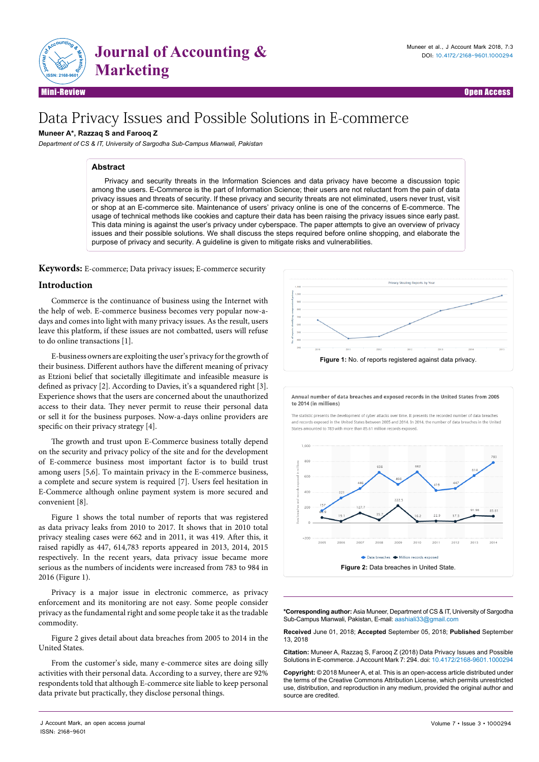

# Data Privacy Issues and Possible Solutions in E-commerce

# **Muneer A\*, Razzaq S and Farooq Z**

*Department of CS & IT, University of Sargodha Sub-Campus Mianwali, Pakistan*

## **Abstract**

Privacy and security threats in the Information Sciences and data privacy have become a discussion topic among the users. E-Commerce is the part of Information Science; their users are not reluctant from the pain of data privacy issues and threats of security. If these privacy and security threats are not eliminated, users never trust, visit or shop at an E-commerce site. Maintenance of users' privacy online is one of the concerns of E-commerce. The usage of technical methods like cookies and capture their data has been raising the privacy issues since early past. This data mining is against the user's privacy under cyberspace. The paper attempts to give an overview of privacy issues and their possible solutions. We shall discuss the steps required before online shopping, and elaborate the purpose of privacy and security. A guideline is given to mitigate risks and vulnerabilities.

**Keywords:** E-commerce; Data privacy issues; E-commerce security

# **Introduction**

Commerce is the continuance of business using the Internet with the help of web. E-commerce business becomes very popular now-adays and comes into light with many privacy issues. As the result, users leave this platform, if these issues are not combatted, users will refuse to do online transactions [1].

E-business owners are exploiting the user's privacy for the growth of their business. Different authors have the different meaning of privacy as Etzioni belief that societally illegitimate and infeasible measure is defined as privacy [2]. According to Davies, it's a squandered right [3]. Experience shows that the users are concerned about the unauthorized access to their data. They never permit to reuse their personal data or sell it for the business purposes. Now-a-days online providers are specific on their privacy strategy [4].

The growth and trust upon E-Commerce business totally depend on the security and privacy policy of the site and for the development of E-commerce business most important factor is to build trust among users [5,6]. To maintain privacy in the E-commerce business, a complete and secure system is required [7]. Users feel hesitation in E-Commerce although online payment system is more secured and convenient [8].

Figure 1 shows the total number of reports that was registered as data privacy leaks from 2010 to 2017. It shows that in 2010 total privacy stealing cases were 662 and in 2011, it was 419. After this, it raised rapidly as 447, 614,783 reports appeared in 2013, 2014, 2015 respectively. In the recent years, data privacy issue became more serious as the numbers of incidents were increased from 783 to 984 in 2016 (Figure 1).

Privacy is a major issue in electronic commerce, as privacy enforcement and its monitoring are not easy. Some people consider privacy as the fundamental right and some people take it as the tradable commodity.

Figure 2 gives detail about data breaches from 2005 to 2014 in the United States.

From the customer's side, many e-commerce sites are doing silly activities with their personal data. According to a survey, there are 92% respondents told that although E-commerce site liable to keep personal data private but practically, they disclose personal things.



Annual number of data breaches and exposed records in the United States from 2005 to 2014 (in millions)

The statistic presents the development of cyber attacks over time. It presents the recorded number of data breaches and records exposed in the United States between 2005 and 2014. In 2014, the number of data breaches in the United States amounted to 783 with more than 85.61 million records exposed



**\*Corresponding author:** Asia Muneer, Department of CS & IT, University of Sargodha Sub-Campus Mianwali, Pakistan, E-mail: aashiali33@gmail.com

**Received** June 01, 2018; **Accepted** September 05, 2018; **Published** September 13, 2018

**Citation:** Muneer A, Razzaq S, Farooq Z (2018) Data Privacy Issues and Possible Solutions in E-commerce. J Account Mark 7: 294. doi: 10.4172/2168-9601.1000294

**Copyright:** © 2018 Muneer A, et al. This is an open-access article distributed under the terms of the Creative Commons Attribution License, which permits unrestricted use, distribution, and reproduction in any medium, provided the original author and source are credited.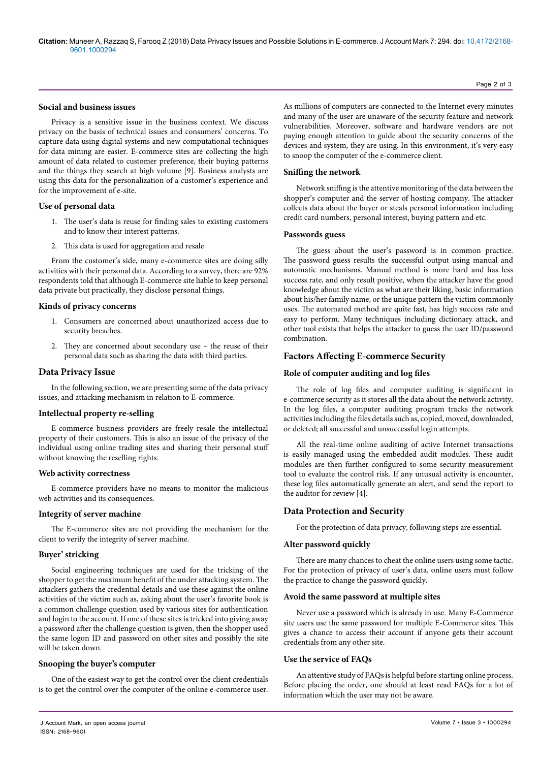#### **Social and business issues**

Privacy is a sensitive issue in the business context. We discuss privacy on the basis of technical issues and consumers' concerns. To capture data using digital systems and new computational techniques for data mining are easier. E-commerce sites are collecting the high amount of data related to customer preference, their buying patterns and the things they search at high volume [9]. Business analysts are using this data for the personalization of a customer's experience and for the improvement of e-site.

#### **Use of personal data**

- 1. The user's data is reuse for finding sales to existing customers and to know their interest patterns.
- 2. This data is used for aggregation and resale

From the customer's side, many e-commerce sites are doing silly activities with their personal data. According to a survey, there are 92% respondents told that although E-commerce site liable to keep personal data private but practically, they disclose personal things.

#### **Kinds of privacy concerns**

- 1. Consumers are concerned about unauthorized access due to security breaches.
- 2. They are concerned about secondary use the reuse of their personal data such as sharing the data with third parties.

# **Data Privacy Issue**

In the following section, we are presenting some of the data privacy issues, and attacking mechanism in relation to E-commerce.

#### **Intellectual property re-selling**

E-commerce business providers are freely resale the intellectual property of their customers. This is also an issue of the privacy of the individual using online trading sites and sharing their personal stuff without knowing the reselling rights.

#### **Web activity correctness**

E-commerce providers have no means to monitor the malicious web activities and its consequences.

# **Integrity of server machine**

The E-commerce sites are not providing the mechanism for the client to verify the integrity of server machine.

# **Buyer' stricking**

Social engineering techniques are used for the tricking of the shopper to get the maximum benefit of the under attacking system. The attackers gathers the credential details and use these against the online activities of the victim such as, asking about the user's favorite book is a common challenge question used by various sites for authentication and login to the account. If one of these sites is tricked into giving away a password after the challenge question is given, then the shopper used the same logon ID and password on other sites and possibly the site will be taken down.

# **Snooping the buyer's computer**

One of the easiest way to get the control over the client credentials is to get the control over the computer of the online e-commerce user.

As millions of computers are connected to the Internet every minutes and many of the user are unaware of the security feature and network vulnerabilities. Moreover, software and hardware vendors are not paying enough attention to guide about the security concerns of the devices and system, they are using. In this environment, it's very easy to snoop the computer of the e-commerce client.

## **Sniffing the network**

Network sniffing is the attentive monitoring of the data between the shopper's computer and the server of hosting company. The attacker collects data about the buyer or steals personal information including credit card numbers, personal interest, buying pattern and etc.

#### **Passwords guess**

The guess about the user's password is in common practice. The password guess results the successful output using manual and automatic mechanisms. Manual method is more hard and has less success rate, and only result positive, when the attacker have the good knowledge about the victim as what are their liking, basic information about his/her family name, or the unique pattern the victim commonly uses. The automated method are quite fast, has high success rate and easy to perform. Many techniques including dictionary attack, and other tool exists that helps the attacker to guess the user ID/password combination.

# **Factors Affecting E-commerce Security**

# **Role of computer auditing and log files**

The role of log files and computer auditing is significant in e-commerce security as it stores all the data about the network activity. In the log files, a computer auditing program tracks the network activities including the files details such as, copied, moved, downloaded, or deleted; all successful and unsuccessful login attempts.

All the real-time online auditing of active Internet transactions is easily managed using the embedded audit modules. These audit modules are then further configured to some security measurement tool to evaluate the control risk. If any unusual activity is encounter, these log files automatically generate an alert, and send the report to the auditor for review [4].

# **Data Protection and Security**

For the protection of data privacy, following steps are essential.

# **Alter password quickly**

There are many chances to cheat the online users using some tactic. For the protection of privacy of user's data, online users must follow the practice to change the password quickly.

#### **Avoid the same password at multiple sites**

Never use a password which is already in use. Many E-Commerce site users use the same password for multiple E-Commerce sites. This gives a chance to access their account if anyone gets their account credentials from any other site.

# **Use the service of FAQs**

An attentive study of FAQs is helpful before starting online process. Before placing the order, one should at least read FAQs for a lot of information which the user may not be aware.

Page 2 of 3